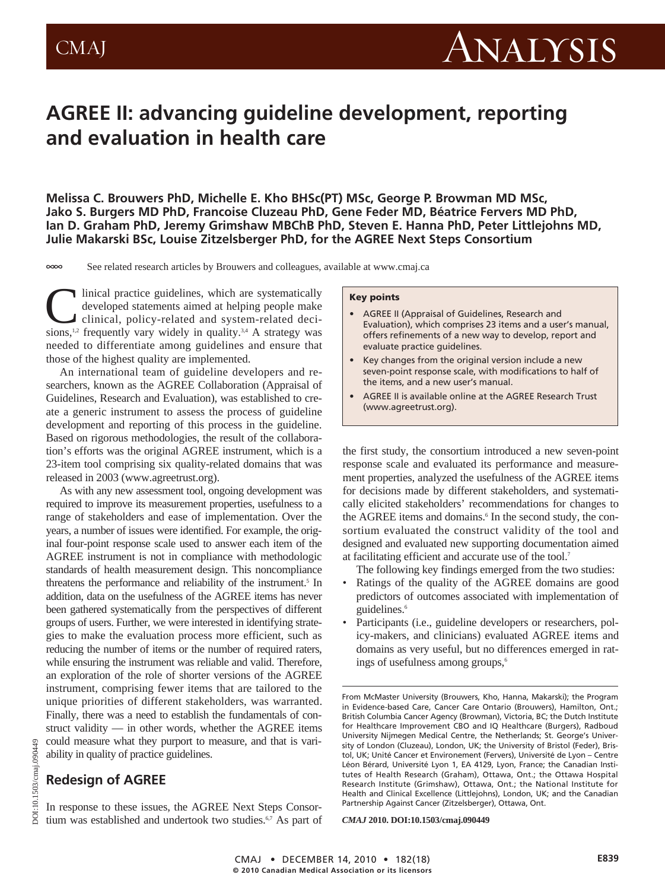# **AGREE II: advancing guideline development, reporting and evaluation in health care**

**Melissa C. Brouwers PhD, Michelle E. Kho BHSc(PT) MSc, George P. Browman MD MSc, Jako S. Burgers MD PhD, Francoise Cluzeau PhD, Gene Feder MD, Béatrice Fervers MD PhD, Ian D. Graham PhD, Jeremy Grimshaw MBChB PhD, Steven E. Hanna PhD, Peter Littlejohns MD, Julie Makarski BSc, Louise Zitzelsberger PhD, for the AGREE Next Steps Consortium**

@@ See related research articles by Brouwers and colleagues, available at www.cmaj.ca

Inical practice guidelines, which are systematically<br>developed statements aimed at helping people make<br>clinical, policy-related and system-related deci-<br>sions<sup>12</sup> frequently vary widely in quality<sup>34</sup> A strategy was developed statements aimed at helping people make clinical, policy-related and system-related decisions,<sup>1,2</sup> frequently vary widely in quality.<sup>3,4</sup> A strategy was needed to differentiate among guidelines and ensure that those of the highest quality are implemented.

An international team of guideline developers and researchers, known as the AGREE Collaboration (Appraisal of Guidelines, Research and Evaluation), was established to create a generic instrument to assess the process of guideline development and reporting of this process in the guideline. Based on rigorous methodologies, the result of the collaboration's efforts was the original AGREE instrument, which is a 23-item tool comprising six quality-related domains that was released in 2003 (www.agreetrust.org).

As with any new assessment tool, ongoing development was required to improve its measurement properties, usefulness to a range of stakeholders and ease of implementation. Over the years, a number of issues were identified. For example, the original four-point response scale used to answer each item of the AGREE instrument is not in compliance with methodologic standards of health measurement design. This noncompliance threatens the performance and reliability of the instrument.<sup>5</sup> In addition, data on the usefulness of the AGREE items has never been gathered systematically from the perspectives of different groups of users. Further, we were interested in identifying strategies to make the evaluation process more efficient, such as reducing the number of items or the number of required raters, while ensuring the instrument was reliable and valid. Therefore, an exploration of the role of shorter versions of the AGREE instrument, comprising fewer items that are tailored to the unique priorities of different stakeholders, was warranted. Finally, there was a need to establish the fundamentals of construct validity — in other words, whether the AGREE items could measure what they purport to measure, and that is variability in quality of practice guidelines.

## **Redesign of AGREE**

DOI:10.1503/cmaj.090449 DOI:10.1503/cmaj.090449

In response to these issues, the AGREE Next Steps Consortium was established and undertook two studies.<sup>6,7</sup> As part of

#### **Key points**

- AGREE II (Appraisal of Guidelines, Research and Evaluation), which comprises 23 items and a user's manual, offers refinements of a new way to develop, report and evaluate practice guidelines.
- Key changes from the original version include a new seven-point response scale, with modifications to half of the items, and a new user's manual.
- AGREE II is available online at the AGREE Research Trust (www.agreetrust.org).

the first study, the consortium introduced a new seven-point response scale and evaluated its performance and measurement properties, analyzed the usefulness of the AGREE items for decisions made by different stakeholders, and systematically elicited stakeholders' recommendations for changes to the AGREE items and domains.<sup>6</sup> In the second study, the consortium evaluated the construct validity of the tool and designed and evaluated new supporting documentation aimed at facilitating efficient and accurate use of the tool.7

The following key findings emerged from the two studies:

- Ratings of the quality of the AGREE domains are good predictors of outcomes associated with implementation of guidelines.<sup>6</sup>
- Participants (i.e., guideline developers or researchers, policy-makers, and clinicians) evaluated AGREE items and domains as very useful, but no differences emerged in ratings of usefulness among groups,<sup>6</sup>

*CMAJ* **2010. DOI:10.1503/cmaj.090449**

From McMaster University (Brouwers, Kho, Hanna, Makarski); the Program in Evidence-based Care, Cancer Care Ontario (Brouwers), Hamilton, Ont.; British Columbia Cancer Agency (Browman), Victoria, BC; the Dutch Institute for Healthcare Improvement CBO and IQ Healthcare (Burgers), Radboud University Nijmegen Medical Centre, the Netherlands; St. George's University of London (Cluzeau), London, UK; the University of Bristol (Feder), Bristol, UK; Unité Cancer et Environement (Fervers), Université de Lyon – Centre Léon Bérard, Université Lyon 1, EA 4129, Lyon, France; the Canadian Institutes of Health Research (Graham), Ottawa, Ont.; the Ottawa Hospital Research Institute (Grimshaw), Ottawa, Ont.; the National Institute for Health and Clinical Excellence (Littlejohns), London, UK; and the Canadian Partnership Against Cancer (Zitzelsberger), Ottawa, Ont.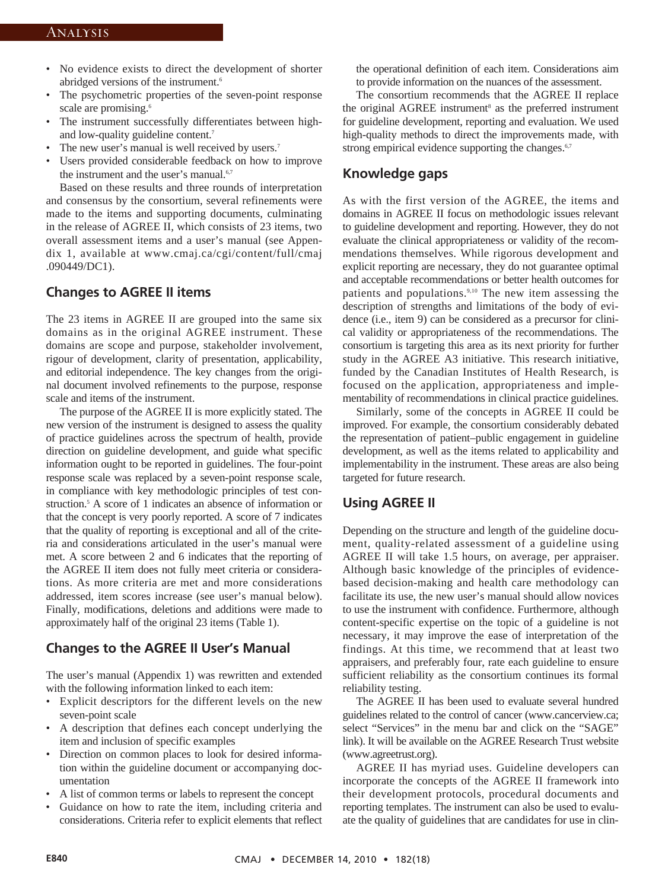- No evidence exists to direct the development of shorter abridged versions of the instrument.<sup>6</sup>
- The psychometric properties of the seven-point response scale are promising.<sup>6</sup>
- The instrument successfully differentiates between highand low-quality guideline content.7
- The new user's manual is well received by users.<sup>7</sup>
- Users provided considerable feedback on how to improve the instrument and the user's manual.<sup>6,7</sup>

Based on these results and three rounds of interpretation and consensus by the consortium, several refinements were made to the items and supporting documents, culminating in the release of AGREE II, which consists of 23 items, two overall assessment items and a user's manual (see Appendix 1, available at www.cmaj.ca/cgi/content/full/cmaj .090449/DC1).

#### **Changes to AGREE II items**

The 23 items in AGREE II are grouped into the same six domains as in the original AGREE instrument. These domains are scope and purpose, stakeholder involvement, rigour of development, clarity of presentation, applicability, and editorial independence. The key changes from the original document involved refinements to the purpose, response scale and items of the instrument.

The purpose of the AGREE II is more explicitly stated. The new version of the instrument is designed to assess the quality of practice guidelines across the spectrum of health, provide direction on guideline development, and guide what specific information ought to be reported in guidelines. The four-point response scale was replaced by a seven-point response scale, in compliance with key methodologic principles of test construction.<sup>5</sup> A score of 1 indicates an absence of information or that the concept is very poorly reported. A score of 7 indicates that the quality of reporting is exceptional and all of the criteria and considerations articulated in the user's manual were met. A score between 2 and 6 indicates that the reporting of the AGREE II item does not fully meet criteria or considerations. As more criteria are met and more considerations addressed, item scores increase (see user's manual below). Finally, modifications, deletions and additions were made to approximately half of the original 23 items (Table 1).

### **Changes to the AGREE II User's Manual**

The user's manual (Appendix 1) was rewritten and extended with the following information linked to each item:

- Explicit descriptors for the different levels on the new seven-point scale
- A description that defines each concept underlying the item and inclusion of specific examples
- Direction on common places to look for desired information within the guideline document or accompanying documentation
- A list of common terms or labels to represent the concept
- Guidance on how to rate the item, including criteria and considerations. Criteria refer to explicit elements that reflect

the operational definition of each item. Considerations aim to provide information on the nuances of the assessment.

The consortium recommends that the AGREE II replace the original AGREE instrument<sup>8</sup> as the preferred instrument for guideline development, reporting and evaluation. We used high-quality methods to direct the improvements made, with strong empirical evidence supporting the changes.<sup>6,7</sup>

### **Knowledge gaps**

As with the first version of the AGREE, the items and domains in AGREE II focus on methodologic issues relevant to guideline development and reporting. However, they do not evaluate the clinical appropriateness or validity of the recommendations themselves. While rigorous development and explicit reporting are necessary, they do not guarantee optimal and acceptable recommendations or better health outcomes for patients and populations.9,10 The new item assessing the description of strengths and limitations of the body of evidence (i.e., item 9) can be considered as a precursor for clinical validity or appropriateness of the recommendations. The consortium is targeting this area as its next priority for further study in the AGREE A3 initiative. This research initiative, funded by the Canadian Institutes of Health Research, is focused on the application, appropriateness and implementability of recommendations in clinical practice guidelines.

Similarly, some of the concepts in AGREE II could be improved. For example, the consortium considerably debated the representation of patient–public engagement in guideline development, as well as the items related to applicability and implementability in the instrument. These areas are also being targeted for future research.

### **Using AGREE II**

Depending on the structure and length of the guideline document, quality-related assessment of a guideline using AGREE II will take 1.5 hours, on average, per appraiser. Although basic knowledge of the principles of evidencebased decision-making and health care methodology can facilitate its use, the new user's manual should allow novices to use the instrument with confidence. Furthermore, although content-specific expertise on the topic of a guideline is not necessary, it may improve the ease of interpretation of the findings. At this time, we recommend that at least two appraisers, and preferably four, rate each guideline to ensure sufficient reliability as the consortium continues its formal reliability testing.

The AGREE II has been used to evaluate several hundred guidelines related to the control of cancer (www.cancerview.ca; select "Services" in the menu bar and click on the "SAGE" link). It will be available on the AGREE Research Trust website (www.agreetrust.org).

AGREE II has myriad uses. Guideline developers can incorporate the concepts of the AGREE II framework into their development protocols, procedural documents and reporting templates. The instrument can also be used to evaluate the quality of guidelines that are candidates for use in clin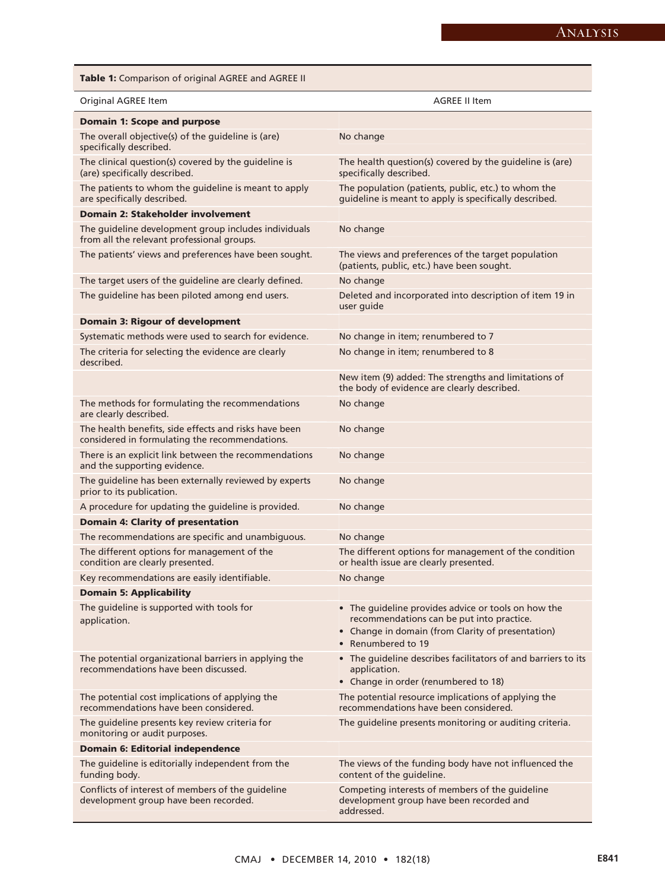**Table 1:** Comparison of original AGREE and AGREE II

| Original AGREE Item                                                                                     | <b>AGREE II Item</b>                                                                                                                                                        |
|---------------------------------------------------------------------------------------------------------|-----------------------------------------------------------------------------------------------------------------------------------------------------------------------------|
| <b>Domain 1: Scope and purpose</b>                                                                      |                                                                                                                                                                             |
| The overall objective(s) of the guideline is (are)<br>specifically described.                           | No change                                                                                                                                                                   |
| The clinical question(s) covered by the guideline is<br>(are) specifically described.                   | The health question(s) covered by the guideline is (are)<br>specifically described.                                                                                         |
| The patients to whom the guideline is meant to apply<br>are specifically described.                     | The population (patients, public, etc.) to whom the<br>guideline is meant to apply is specifically described.                                                               |
| Domain 2: Stakeholder involvement                                                                       |                                                                                                                                                                             |
| The guideline development group includes individuals<br>from all the relevant professional groups.      | No change                                                                                                                                                                   |
| The patients' views and preferences have been sought.                                                   | The views and preferences of the target population<br>(patients, public, etc.) have been sought.                                                                            |
| The target users of the guideline are clearly defined.                                                  | No change                                                                                                                                                                   |
| The guideline has been piloted among end users.                                                         | Deleted and incorporated into description of item 19 in<br>user quide                                                                                                       |
| <b>Domain 3: Rigour of development</b>                                                                  |                                                                                                                                                                             |
| Systematic methods were used to search for evidence.                                                    | No change in item; renumbered to 7                                                                                                                                          |
| The criteria for selecting the evidence are clearly<br>described.                                       | No change in item; renumbered to 8                                                                                                                                          |
|                                                                                                         | New item (9) added: The strengths and limitations of<br>the body of evidence are clearly described.                                                                         |
| The methods for formulating the recommendations<br>are clearly described.                               | No change                                                                                                                                                                   |
| The health benefits, side effects and risks have been<br>considered in formulating the recommendations. | No change                                                                                                                                                                   |
| There is an explicit link between the recommendations<br>and the supporting evidence.                   | No change                                                                                                                                                                   |
| The guideline has been externally reviewed by experts<br>prior to its publication.                      | No change                                                                                                                                                                   |
| A procedure for updating the guideline is provided.                                                     | No change                                                                                                                                                                   |
| <b>Domain 4: Clarity of presentation</b>                                                                |                                                                                                                                                                             |
| The recommendations are specific and unambiguous.                                                       | No change                                                                                                                                                                   |
| The different options for management of the<br>condition are clearly presented.                         | The different options for management of the condition<br>or health issue are clearly presented.                                                                             |
| Key recommendations are easily identifiable.                                                            | No change                                                                                                                                                                   |
| <b>Domain 5: Applicability</b>                                                                          |                                                                                                                                                                             |
| The quideline is supported with tools for<br>application.                                               | • The guideline provides advice or tools on how the<br>recommendations can be put into practice.<br>• Change in domain (from Clarity of presentation)<br>• Renumbered to 19 |
| The potential organizational barriers in applying the<br>recommendations have been discussed.           | • The guideline describes facilitators of and barriers to its<br>application.<br>• Change in order (renumbered to 18)                                                       |
| The potential cost implications of applying the<br>recommendations have been considered.                | The potential resource implications of applying the<br>recommendations have been considered.                                                                                |
| The guideline presents key review criteria for<br>monitoring or audit purposes.                         | The guideline presents monitoring or auditing criteria.                                                                                                                     |
| <b>Domain 6: Editorial independence</b>                                                                 |                                                                                                                                                                             |
| The guideline is editorially independent from the<br>funding body.                                      | The views of the funding body have not influenced the<br>content of the guideline.                                                                                          |
| Conflicts of interest of members of the guideline<br>development group have been recorded.              | Competing interests of members of the guideline<br>development group have been recorded and<br>addressed.                                                                   |